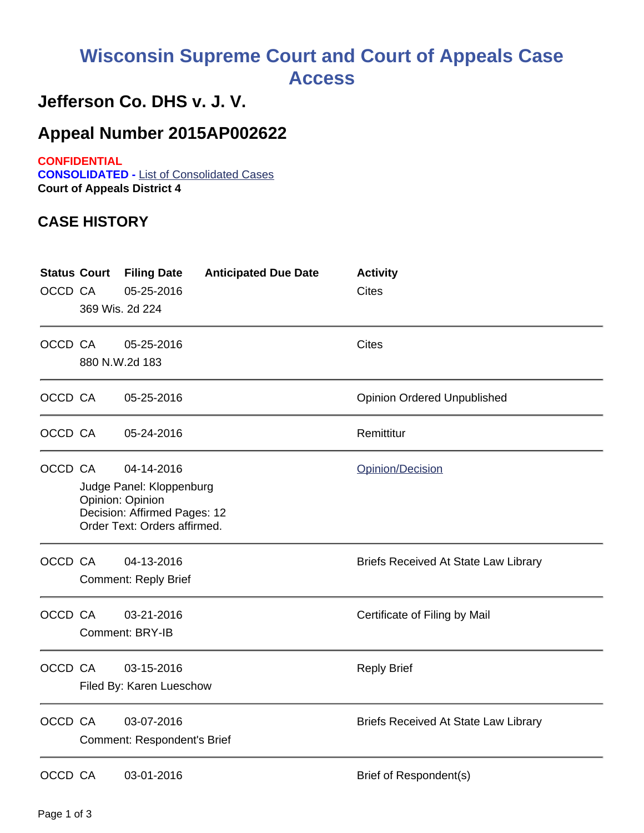## **Wisconsin Supreme Court and Court of Appeals Case Access**

## **Jefferson Co. DHS v. J. V.**

## **Appeal Number 2015AP002622**

**CONFIDENTIAL CONSOLIDATED -** List of Consolidated Cases **Court of Appeals District 4**

## **CASE HISTORY**

| <b>Status Court</b><br>OCCD CA | 369 Wis. 2d 224                                                                                                            | <b>Filing Date</b><br>05-25-2016                 | <b>Anticipated Due Date</b> | <b>Activity</b><br><b>Cites</b>             |
|--------------------------------|----------------------------------------------------------------------------------------------------------------------------|--------------------------------------------------|-----------------------------|---------------------------------------------|
| OCCD CA                        | 880 N.W.2d 183                                                                                                             | 05-25-2016                                       |                             | <b>Cites</b>                                |
| OCCD CA                        |                                                                                                                            | 05-25-2016                                       |                             | <b>Opinion Ordered Unpublished</b>          |
| OCCD CA                        |                                                                                                                            | 05-24-2016                                       |                             | Remittitur                                  |
| OCCD CA                        | 04-14-2016<br>Judge Panel: Kloppenburg<br>Opinion: Opinion<br>Decision: Affirmed Pages: 12<br>Order Text: Orders affirmed. |                                                  |                             | Opinion/Decision                            |
| OCCD CA                        |                                                                                                                            | 04-13-2016<br><b>Comment: Reply Brief</b>        |                             | <b>Briefs Received At State Law Library</b> |
| OCCD CA                        |                                                                                                                            | 03-21-2016<br>Comment: BRY-IB                    |                             | Certificate of Filing by Mail               |
| OCCD CA                        | 03-15-2016<br>Filed By: Karen Lueschow                                                                                     |                                                  |                             | <b>Reply Brief</b>                          |
| OCCD CA                        |                                                                                                                            | 03-07-2016<br><b>Comment: Respondent's Brief</b> |                             | <b>Briefs Received At State Law Library</b> |
| OCCD CA                        |                                                                                                                            | 03-01-2016                                       |                             | Brief of Respondent(s)                      |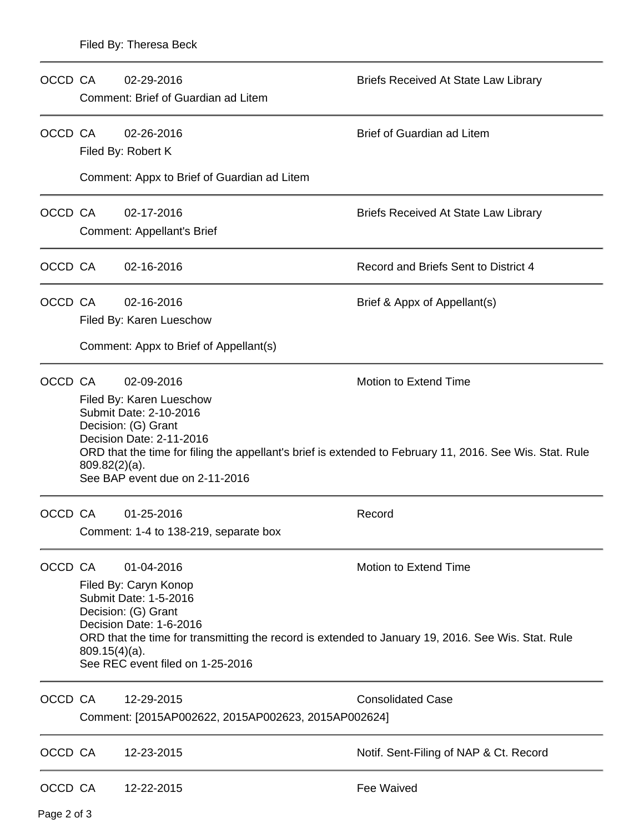| OCCD CA |                                                                                                                                                                                                                                                                                                       | 02-29-2016<br>Comment: Brief of Guardian ad Litem                                                                                                                                                                                                                       | Briefs Received At State Law Library        |  |  |  |  |  |
|---------|-------------------------------------------------------------------------------------------------------------------------------------------------------------------------------------------------------------------------------------------------------------------------------------------------------|-------------------------------------------------------------------------------------------------------------------------------------------------------------------------------------------------------------------------------------------------------------------------|---------------------------------------------|--|--|--|--|--|
| OCCD CA |                                                                                                                                                                                                                                                                                                       | 02-26-2016<br>Filed By: Robert K                                                                                                                                                                                                                                        | Brief of Guardian ad Litem                  |  |  |  |  |  |
|         |                                                                                                                                                                                                                                                                                                       | Comment: Appx to Brief of Guardian ad Litem                                                                                                                                                                                                                             |                                             |  |  |  |  |  |
| OCCD CA |                                                                                                                                                                                                                                                                                                       | 02-17-2016                                                                                                                                                                                                                                                              | <b>Briefs Received At State Law Library</b> |  |  |  |  |  |
|         |                                                                                                                                                                                                                                                                                                       | <b>Comment: Appellant's Brief</b>                                                                                                                                                                                                                                       |                                             |  |  |  |  |  |
| OCCD CA |                                                                                                                                                                                                                                                                                                       | 02-16-2016                                                                                                                                                                                                                                                              | Record and Briefs Sent to District 4        |  |  |  |  |  |
| OCCD CA |                                                                                                                                                                                                                                                                                                       | 02-16-2016                                                                                                                                                                                                                                                              | Brief & Appx of Appellant(s)                |  |  |  |  |  |
|         |                                                                                                                                                                                                                                                                                                       | Filed By: Karen Lueschow                                                                                                                                                                                                                                                |                                             |  |  |  |  |  |
|         |                                                                                                                                                                                                                                                                                                       | Comment: Appx to Brief of Appellant(s)                                                                                                                                                                                                                                  |                                             |  |  |  |  |  |
| OCCD CA |                                                                                                                                                                                                                                                                                                       | 02-09-2016                                                                                                                                                                                                                                                              | <b>Motion to Extend Time</b>                |  |  |  |  |  |
|         |                                                                                                                                                                                                                                                                                                       | Filed By: Karen Lueschow<br>Submit Date: 2-10-2016<br>Decision: (G) Grant<br>Decision Date: 2-11-2016<br>ORD that the time for filing the appellant's brief is extended to February 11, 2016. See Wis. Stat. Rule<br>$809.82(2)(a)$ .<br>See BAP event due on 2-11-2016 |                                             |  |  |  |  |  |
| OCCD CA |                                                                                                                                                                                                                                                                                                       | 01-25-2016                                                                                                                                                                                                                                                              | Record                                      |  |  |  |  |  |
|         | Comment: 1-4 to 138-219, separate box                                                                                                                                                                                                                                                                 |                                                                                                                                                                                                                                                                         |                                             |  |  |  |  |  |
| OCCD CA | Motion to Extend Time<br>01-04-2016<br>Filed By: Caryn Konop<br>Submit Date: 1-5-2016<br>Decision: (G) Grant<br>Decision Date: 1-6-2016<br>ORD that the time for transmitting the record is extended to January 19, 2016. See Wis. Stat. Rule<br>$809.15(4)(a)$ .<br>See REC event filed on 1-25-2016 |                                                                                                                                                                                                                                                                         |                                             |  |  |  |  |  |
| OCCD CA |                                                                                                                                                                                                                                                                                                       | 12-29-2015                                                                                                                                                                                                                                                              | <b>Consolidated Case</b>                    |  |  |  |  |  |
|         | Comment: [2015AP002622, 2015AP002623, 2015AP002624]                                                                                                                                                                                                                                                   |                                                                                                                                                                                                                                                                         |                                             |  |  |  |  |  |
| OCCD CA |                                                                                                                                                                                                                                                                                                       | 12-23-2015                                                                                                                                                                                                                                                              | Notif. Sent-Filing of NAP & Ct. Record      |  |  |  |  |  |
| OCCD CA |                                                                                                                                                                                                                                                                                                       | 12-22-2015                                                                                                                                                                                                                                                              | Fee Waived                                  |  |  |  |  |  |

Page 2 of 3